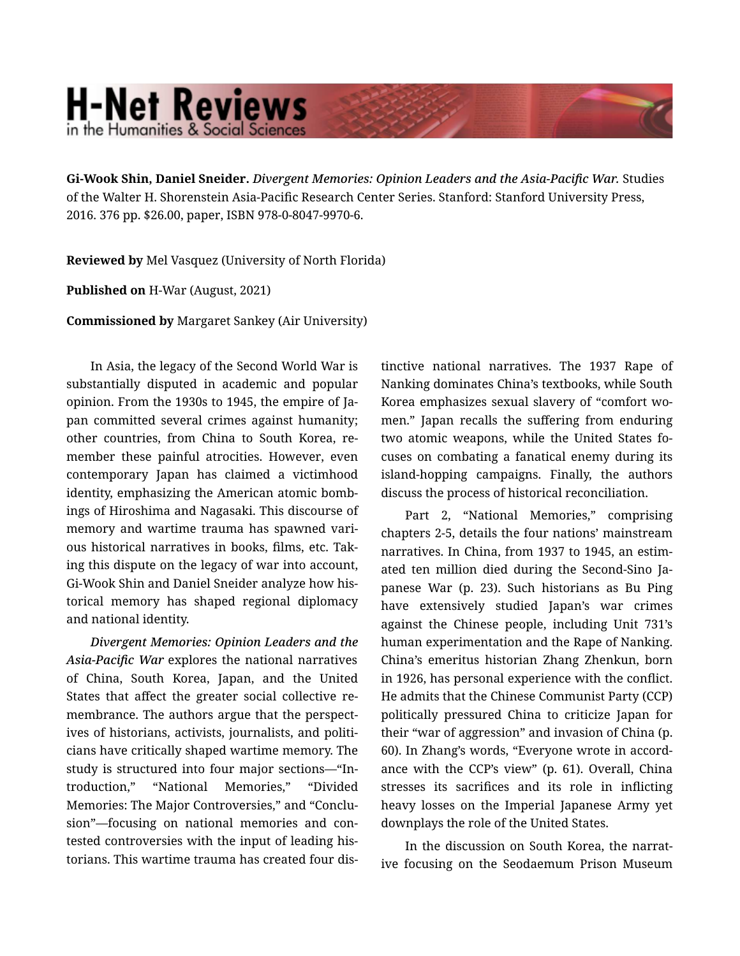## **H-Net Reviews** in the Humanities & Social Scienc

Gi-Wook Shin, Daniel Sneider. *Divergent Memories: Opinion Leaders and the Asia-Pacific War.* Studies of the Walter H. Shorenstein Asia-Pacific Research Center Series. Stanford: Stanford University Press, 2016. 376 pp. \$26.00, paper, ISBN 978-0-8047-9970-6.

Reviewed by Mel Vasquez (University of North Florida)

Published on H-War (August, 2021)

Commissioned by Margaret Sankey (Air University)

In Asia, the legacy of the Second World War is substantially disputed in academic and popular opinion. From the 1930s to 1945, the empire of Ja‐ pan committed several crimes against humanity; other countries, from China to South Korea, re‐ member these painful atrocities. However, even contemporary Japan has claimed a victimhood identity, emphasizing the American atomic bombings of Hiroshima and Nagasaki. This discourse of memory and wartime trauma has spawned vari‐ ous historical narratives in books, films, etc. Tak‐ ing this dispute on the legacy of war into account, Gi-Wook Shin and Daniel Sneider analyze how his‐ torical memory has shaped regional diplomacy and national identity.

*Divergent Memories: Opinion Leaders and the Asia-Pacific War* explores the national narratives of China, South Korea, Japan, and the United States that affect the greater social collective re‐ membrance. The authors argue that the perspect‐ ives of historians, activists, journalists, and politicians have critically shaped wartime memory. The study is structured into four major sections—"In‐ troduction," "National Memories," "Divided Memories: The Major Controversies," and "Conclu‐ sion"—focusing on national memories and con‐ tested controversies with the input of leading his‐ torians. This wartime trauma has created four dis‐

tinctive national narratives. The 1937 Rape of Nanking dominates China's textbooks, while South Korea emphasizes sexual slavery of "comfort wo‐ men." Japan recalls the suffering from enduring two atomic weapons, while the United States fo‐ cuses on combating a fanatical enemy during its island-hopping campaigns. Finally, the authors discuss the process of historical reconciliation.

Part 2, "National Memories," comprising chapters 2-5, details the four nations' mainstream narratives. In China, from 1937 to 1945, an estim‐ ated ten million died during the Second-Sino Ja‐ panese War (p. 23). Such historians as Bu Ping have extensively studied Japan's war crimes against the Chinese people, including Unit 731's human experimentation and the Rape of Nanking. China's emeritus historian Zhang Zhenkun, born in 1926, has personal experience with the conflict. He admits that the Chinese Communist Party (CCP) politically pressured China to criticize Japan for their "war of aggression" and invasion of China (p. 60). In Zhang's words, "Everyone wrote in accord‐ ance with the CCP's view" (p. 61). Overall, China stresses its sacrifices and its role in inflicting heavy losses on the Imperial Japanese Army yet downplays the role of the United States.

In the discussion on South Korea, the narrat‐ ive focusing on the Seodaemum Prison Museum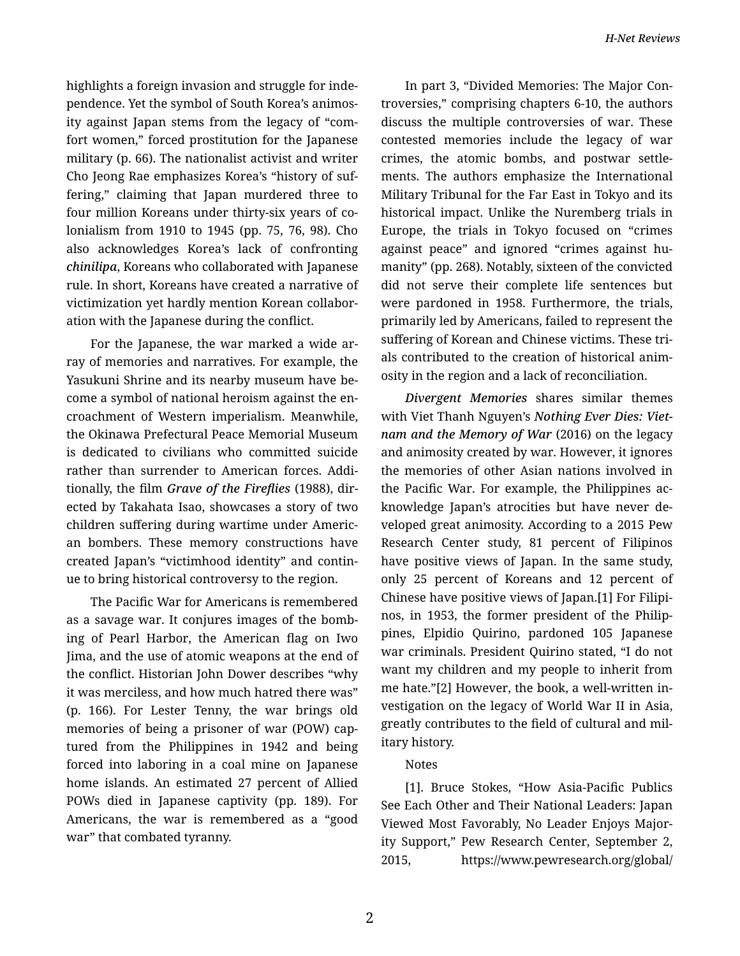highlights a foreign invasion and struggle for inde‐ pendence. Yet the symbol of South Korea's animos‐ ity against Japan stems from the legacy of "com‐ fort women," forced prostitution for the Japanese military (p. 66). The nationalist activist and writer Cho Jeong Rae emphasizes Korea's "history of suf‐ fering," claiming that Japan murdered three to four million Koreans under thirty-six years of co‐ lonialism from 1910 to 1945 (pp. 75, 76, 98). Cho also acknowledges Korea's lack of confronting *chinilipa*, Koreans who collaborated with Japanese rule. In short, Koreans have created a narrative of victimization yet hardly mention Korean collabor‐ ation with the Japanese during the conflict.

For the Japanese, the war marked a wide ar‐ ray of memories and narratives. For example, the Yasukuni Shrine and its nearby museum have be‐ come a symbol of national heroism against the en‐ croachment of Western imperialism. Meanwhile, the Okinawa Prefectural Peace Memorial Museum is dedicated to civilians who committed suicide rather than surrender to American forces. Addi‐ tionally, the film *Grave of the Fireflies* (1988), dir‐ ected by Takahata Isao, showcases a story of two children suffering during wartime under Americ‐ an bombers. These memory constructions have created Japan's "victimhood identity" and contin‐ ue to bring historical controversy to the region.

The Pacific War for Americans is remembered as a savage war. It conjures images of the bomb‐ ing of Pearl Harbor, the American flag on Iwo Jima, and the use of atomic weapons at the end of the conflict. Historian John Dower describes "why it was merciless, and how much hatred there was" (p. 166). For Lester Tenny, the war brings old memories of being a prisoner of war (POW) cap‐ tured from the Philippines in 1942 and being forced into laboring in a coal mine on Japanese home islands. An estimated 27 percent of Allied POWs died in Japanese captivity (pp. 189). For Americans, the war is remembered as a "good war" that combated tyranny.

In part 3, "Divided Memories: The Major Con‐ troversies," comprising chapters 6-10, the authors discuss the multiple controversies of war. These contested memories include the legacy of war crimes, the atomic bombs, and postwar settle‐ ments. The authors emphasize the International Military Tribunal for the Far East in Tokyo and its historical impact. Unlike the Nuremberg trials in Europe, the trials in Tokyo focused on "crimes against peace" and ignored "crimes against hu‐ manity" (pp. 268). Notably, sixteen of the convicted did not serve their complete life sentences but were pardoned in 1958. Furthermore, the trials, primarily led by Americans, failed to represent the suffering of Korean and Chinese victims. These tri‐ als contributed to the creation of historical anim‐ osity in the region and a lack of reconciliation.

*Divergent Memories* shares similar themes with Viet Thanh Nguyen's *Nothing Ever Dies: Viet‐ nam and the Memory of War* (2016) on the legacy and animosity created by war. However, it ignores the memories of other Asian nations involved in the Pacific War. For example, the Philippines ac‐ knowledge Japan's atrocities but have never de‐ veloped great animosity. According to a 2015 Pew Research Center study, 81 percent of Filipinos have positive views of Japan. In the same study, only 25 percent of Koreans and 12 percent of Chinese have positive views of Japan.[1] For Filipi‐ nos, in 1953, the former president of the Philip‐ pines, Elpidio Quirino, pardoned 105 Japanese war criminals. President Quirino stated, "I do not want my children and my people to inherit from me hate."[2] However, the book, a well-written in‐ vestigation on the legacy of World War II in Asia, greatly contributes to the field of cultural and mil‐ itary history.

## Notes

[1]. Bruce Stokes, "How Asia-Pacific Publics See Each Other and Their National Leaders: Japan Viewed Most Favorably, No Leader Enjoys Major‐ ity Support," Pew Research Center, September 2, 2015, https://www.pewresearch.org/global/